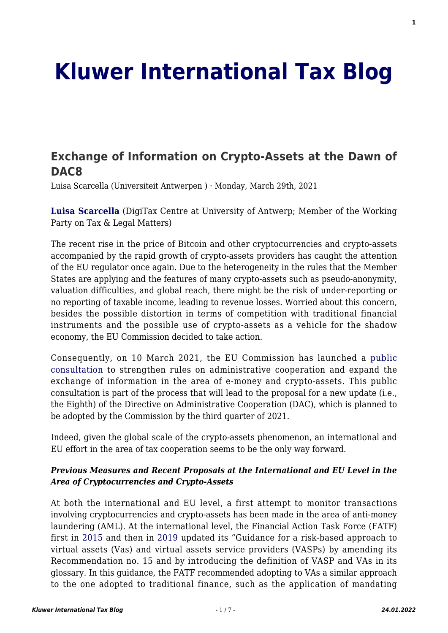# **[Kluwer International Tax Blog](http://kluwertaxblog.com/)**

# **[Exchange of Information on Crypto-Assets at the Dawn of](http://kluwertaxblog.com/2021/03/29/exchange-of-information-on-crypto-assets-at-the-dawn-of-dac8/) [DAC8](http://kluwertaxblog.com/2021/03/29/exchange-of-information-on-crypto-assets-at-the-dawn-of-dac8/)**

Luisa Scarcella (Universiteit Antwerpen ) · Monday, March 29th, 2021

**[Luisa Scarcella](https://www.linkedin.com/in/luisa-scarcella-0b6601147/)** (DigiTax Centre at University of Antwerp; Member of the Working Party on Tax & Legal Matters)

The recent rise in the price of Bitcoin and other cryptocurrencies and crypto-assets accompanied by the rapid growth of crypto-assets providers has caught the attention of the EU regulator once again. Due to the heterogeneity in the rules that the Member States are applying and the features of many crypto-assets such as pseudo-anonymity, valuation difficulties, and global reach, there might be the risk of under-reporting or no reporting of taxable income, leading to revenue losses. Worried about this concern, besides the possible distortion in terms of competition with traditional financial instruments and the possible use of crypto-assets as a vehicle for the shadow economy, the EU Commission decided to take action.

Consequently, on 10 March 2021, the EU Commission has launched a [public](https://ec.europa.eu/info/law/better-regulation/have-your-say/initiatives/12632-Strengthening-existing-rules-and-expanding-exchange-of-information-framework-in-the-field-of-taxation-DAC8-/public-consultation) [consultation](https://ec.europa.eu/info/law/better-regulation/have-your-say/initiatives/12632-Strengthening-existing-rules-and-expanding-exchange-of-information-framework-in-the-field-of-taxation-DAC8-/public-consultation) to strengthen rules on administrative cooperation and expand the exchange of information in the area of e-money and crypto-assets. This public consultation is part of the process that will lead to the proposal for a new update (i.e., the Eighth) of the Directive on Administrative Cooperation (DAC), which is planned to be adopted by the Commission by the third quarter of 2021.

Indeed, given the global scale of the crypto-assets phenomenon, an international and EU effort in the area of tax cooperation seems to be the only way forward.

#### *Previous Measures and Recent Proposals at the International and EU Level in the Area of Cryptocurrencies and Crypto-Assets*

At both the international and EU level, a first attempt to monitor transactions involving cryptocurrencies and crypto-assets has been made in the area of anti-money laundering (AML). At the international level, the Financial Action Task Force (FATF) first in [2015](https://www.fatf-gafi.org/documents/documents/guidance-rba-virtual-currencies.html) and then in [2019](https://www.fatf-gafi.org/publications/fatfrecommendations/documents/guidance-rba-virtual-assets.html) updated its "Guidance for a risk-based approach to virtual assets (Vas) and virtual assets service providers (VASPs) by amending its Recommendation no. 15 and by introducing the definition of VASP and VAs in its glossary. In this guidance, the FATF recommended adopting to VAs a similar approach to the one adopted to traditional finance, such as the application of mandating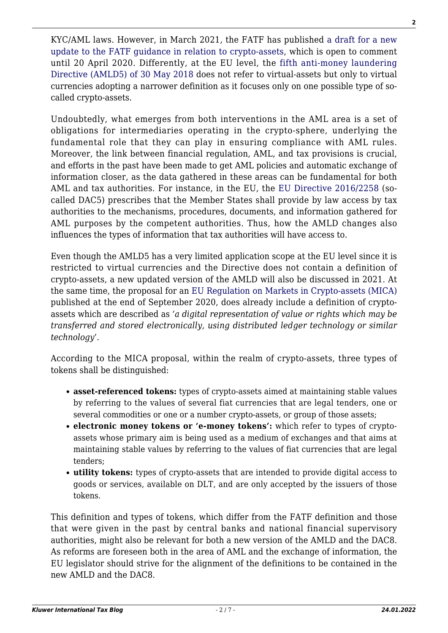KYC/AML laws. However, in March 2021, the FATF has published [a draft for a new](https://www.fatf-gafi.org/publications/fatfrecommendations/documents/public-consultation-guidance-vasp.html) [update to the FATF guidance in relation to crypto-assets](https://www.fatf-gafi.org/publications/fatfrecommendations/documents/public-consultation-guidance-vasp.html), which is open to comment until 20 April 2020. Differently, at the EU level, the [fifth anti-money laundering](https://eur-lex.europa.eu/legal-content/EN/TXT/?uri=CELEX%3A32018L0843) [Directive \(AMLD5\) of 30 May 2018](https://eur-lex.europa.eu/legal-content/EN/TXT/?uri=CELEX%3A32018L0843) does not refer to virtual-assets but only to virtual currencies adopting a narrower definition as it focuses only on one possible type of socalled crypto-assets.

Undoubtedly, what emerges from both interventions in the AML area is a set of obligations for intermediaries operating in the crypto-sphere, underlying the fundamental role that they can play in ensuring compliance with AML rules. Moreover, the link between financial regulation, AML, and tax provisions is crucial, and efforts in the past have been made to get AML policies and automatic exchange of information closer, as the data gathered in these areas can be fundamental for both AML and tax authorities. For instance, in the EU, the [EU Directive 2016/2258](https://eur-lex.europa.eu/legal-content/EN/TXT/?uri=CELEX:32016L2258) (socalled DAC5) prescribes that the Member States shall provide by law access by tax authorities to the mechanisms, procedures, documents, and information gathered for AML purposes by the competent authorities. Thus, how the AMLD changes also influences the types of information that tax authorities will have access to.

Even though the AMLD5 has a very limited application scope at the EU level since it is restricted to virtual currencies and the Directive does not contain a definition of crypto-assets, a new updated version of the AMLD will also be discussed in 2021. At the same time, the proposal for an [EU Regulation on Markets in Crypto-assets \(MICA\)](https://eur-lex.europa.eu/legal-content/EN/TXT/?uri=CELEX%3A52020PC0593) published at the end of September 2020, does already include a definition of cryptoassets which are described as *'a digital representation of value or rights which may be transferred and stored electronically, using distributed ledger technology or similar technology*'.

According to the MICA proposal, within the realm of crypto-assets, three types of tokens shall be distinguished:

- **asset-referenced tokens:** types of crypto-assets aimed at maintaining stable values by referring to the values of several fiat currencies that are legal tenders, one or several commodities or one or a number crypto-assets, or group of those assets;
- **electronic money tokens or 'e-money tokens':** which refer to types of cryptoassets whose primary aim is being used as a medium of exchanges and that aims at maintaining stable values by referring to the values of fiat currencies that are legal tenders;
- **utility tokens:** types of crypto-assets that are intended to provide digital access to goods or services, available on DLT, and are only accepted by the issuers of those tokens.

This definition and types of tokens, which differ from the FATF definition and those that were given in the past by central banks and national financial supervisory authorities, might also be relevant for both a new version of the AMLD and the DAC8. As reforms are foreseen both in the area of AML and the exchange of information, the EU legislator should strive for the alignment of the definitions to be contained in the new AMLD and the DAC8.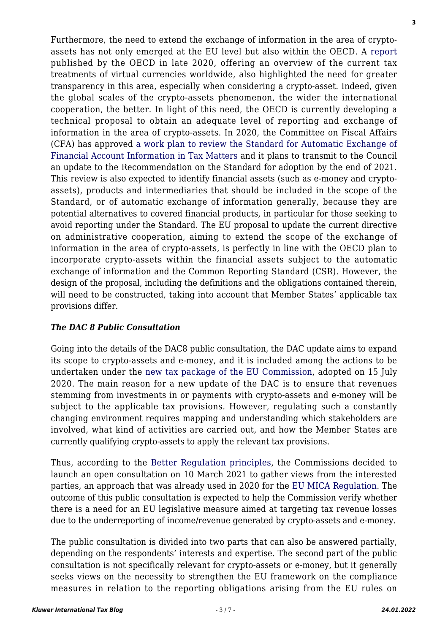Furthermore, the need to extend the exchange of information in the area of cryptoassets has not only emerged at the EU level but also within the OECD. A [report](https://www.oecd.org/tax/tax-policy/taxing-virtual-currencies-an-overview-of-tax-treatments-and-emerging-tax-policy-issues.htm) published by the OECD in late 2020, offering an overview of the current tax treatments of virtual currencies worldwide, also highlighted the need for greater transparency in this area, especially when considering a crypto-asset. Indeed, given the global scales of the crypto-assets phenomenon, the wider the international cooperation, the better. In light of this need, the OECD is currently developing a technical proposal to obtain an adequate level of reporting and exchange of information in the area of crypto-assets. In 2020, the Committee on Fiscal Affairs (CFA) has approved [a work plan to review the Standard for Automatic Exchange of](http://www.oecd.org/officialdocuments/publicdisplaydocumentpdf/?cote=C(2020)47&docLanguage=En) [Financial Account Information in Tax Matters](http://www.oecd.org/officialdocuments/publicdisplaydocumentpdf/?cote=C(2020)47&docLanguage=En) and it plans to transmit to the Council an update to the Recommendation on the Standard for adoption by the end of 2021. This review is also expected to identify financial assets (such as e-money and cryptoassets), products and intermediaries that should be included in the scope of the Standard, or of automatic exchange of information generally, because they are potential alternatives to covered financial products, in particular for those seeking to avoid reporting under the Standard. The EU proposal to update the current directive on administrative cooperation, aiming to extend the scope of the exchange of information in the area of crypto-assets, is perfectly in line with the OECD plan to incorporate crypto-assets within the financial assets subject to the automatic exchange of information and the Common Reporting Standard (CSR). However, the design of the proposal, including the definitions and the obligations contained therein, will need to be constructed, taking into account that Member States' applicable tax provisions differ.

### *The DAC 8 Public Consultation*

Going into the details of the DAC8 public consultation, the DAC update aims to expand its scope to crypto-assets and e-money, and it is included among the actions to be undertaken under the [new tax package of the EU Commission](https://ec.europa.eu/taxation_customs/sites/taxation/files/2020_tax_package_tax_action_plan_en.pdf), adopted on 15 July 2020. The main reason for a new update of the DAC is to ensure that revenues stemming from investments in or payments with crypto-assets and e-money will be subject to the applicable tax provisions. However, regulating such a constantly changing environment requires mapping and understanding which stakeholders are involved, what kind of activities are carried out, and how the Member States are currently qualifying crypto-assets to apply the relevant tax provisions.

Thus, according to the [Better Regulation principles,](https://ec.europa.eu/info/law/law-making-process/planning-and-proposing-law/better-regulation-why-and-how/better-regulation-guidelines-and-toolbox_en) the Commissions decided to launch an open consultation on 10 March 2021 to gather views from the interested parties, an approach that was already used in 2020 for the [EU MICA Regulation.](https://eur-lex.europa.eu/legal-content/EN/TXT/?uri=CELEX%3A52020PC0593) The outcome of this public consultation is expected to help the Commission verify whether there is a need for an EU legislative measure aimed at targeting tax revenue losses due to the underreporting of income/revenue generated by crypto-assets and e-money.

The public consultation is divided into two parts that can also be answered partially, depending on the respondents' interests and expertise. The second part of the public consultation is not specifically relevant for crypto-assets or e-money, but it generally seeks views on the necessity to strengthen the EU framework on the compliance measures in relation to the reporting obligations arising from the EU rules on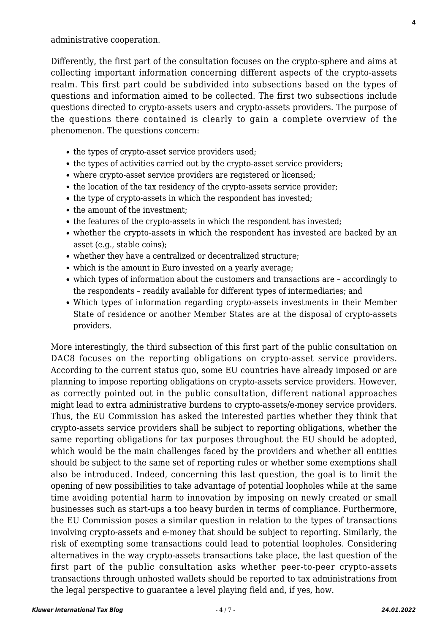administrative cooperation.

Differently, the first part of the consultation focuses on the crypto-sphere and aims at collecting important information concerning different aspects of the crypto-assets realm. This first part could be subdivided into subsections based on the types of questions and information aimed to be collected. The first two subsections include questions directed to crypto-assets users and crypto-assets providers. The purpose of the questions there contained is clearly to gain a complete overview of the phenomenon. The questions concern:

- the types of crypto-asset service providers used;
- the types of activities carried out by the crypto-asset service providers;
- where crypto-asset service providers are registered or licensed;
- the location of the tax residency of the crypto-assets service provider;
- the type of crypto-assets in which the respondent has invested;
- the amount of the investment;
- the features of the crypto-assets in which the respondent has invested;
- whether the crypto-assets in which the respondent has invested are backed by an asset (e.g., stable coins);
- whether they have a centralized or decentralized structure;
- which is the amount in Euro invested on a yearly average;
- which types of information about the customers and transactions are accordingly to the respondents – readily available for different types of intermediaries; and
- Which types of information regarding crypto-assets investments in their Member State of residence or another Member States are at the disposal of crypto-assets providers.

More interestingly, the third subsection of this first part of the public consultation on DAC8 focuses on the reporting obligations on crypto-asset service providers. According to the current status quo, some EU countries have already imposed or are planning to impose reporting obligations on crypto-assets service providers. However, as correctly pointed out in the public consultation, different national approaches might lead to extra administrative burdens to crypto-assets/e-money service providers. Thus, the EU Commission has asked the interested parties whether they think that crypto-assets service providers shall be subject to reporting obligations, whether the same reporting obligations for tax purposes throughout the EU should be adopted, which would be the main challenges faced by the providers and whether all entities should be subject to the same set of reporting rules or whether some exemptions shall also be introduced. Indeed, concerning this last question, the goal is to limit the opening of new possibilities to take advantage of potential loopholes while at the same time avoiding potential harm to innovation by imposing on newly created or small businesses such as start-ups a too heavy burden in terms of compliance. Furthermore, the EU Commission poses a similar question in relation to the types of transactions involving crypto-assets and e-money that should be subject to reporting. Similarly, the risk of exempting some transactions could lead to potential loopholes. Considering alternatives in the way crypto-assets transactions take place, the last question of the first part of the public consultation asks whether peer-to-peer crypto-assets transactions through unhosted wallets should be reported to tax administrations from the legal perspective to guarantee a level playing field and, if yes, how.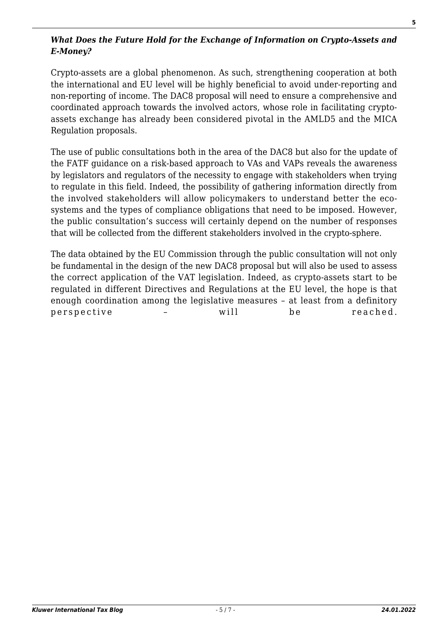#### *What Does the Future Hold for the Exchange of Information on Crypto-Assets and E-Money?*

Crypto-assets are a global phenomenon. As such, strengthening cooperation at both the international and EU level will be highly beneficial to avoid under-reporting and non-reporting of income. The DAC8 proposal will need to ensure a comprehensive and coordinated approach towards the involved actors, whose role in facilitating cryptoassets exchange has already been considered pivotal in the AMLD5 and the MICA Regulation proposals.

The use of public consultations both in the area of the DAC8 but also for the update of the FATF guidance on a risk-based approach to VAs and VAPs reveals the awareness by legislators and regulators of the necessity to engage with stakeholders when trying to regulate in this field. Indeed, the possibility of gathering information directly from the involved stakeholders will allow policymakers to understand better the ecosystems and the types of compliance obligations that need to be imposed. However, the public consultation's success will certainly depend on the number of responses that will be collected from the different stakeholders involved in the crypto-sphere.

The data obtained by the EU Commission through the public consultation will not only be fundamental in the design of the new DAC8 proposal but will also be used to assess the correct application of the VAT legislation. Indeed, as crypto-assets start to be regulated in different Directives and Regulations at the EU level, the hope is that enough coordination among the legislative measures – at least from a definitory perspective – will be reached.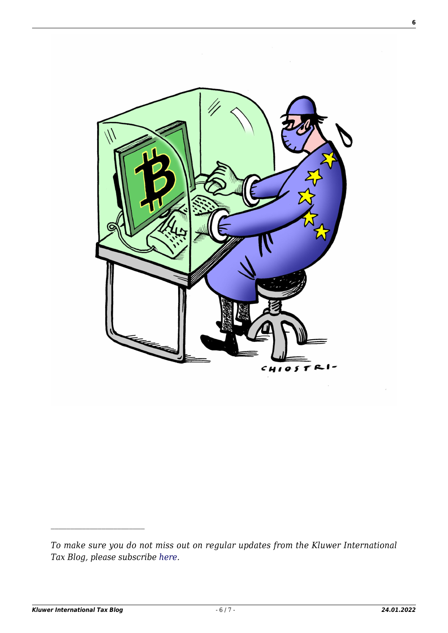

*To make sure you do not miss out on regular updates from the Kluwer International Tax Blog, please subscribe [here.](http://kluwertaxblog.com/newsletter/)*